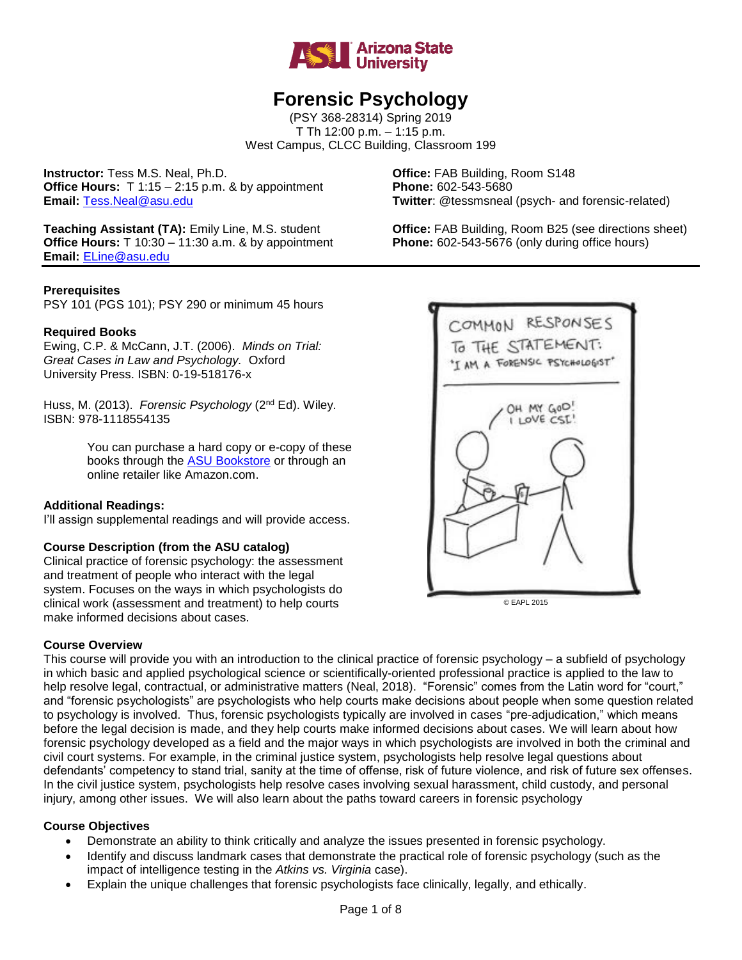

# **Forensic Psychology**

(PSY 368-28314) Spring 2019 T Th 12:00 p.m. – 1:15 p.m. West Campus, CLCC Building, Classroom 199

**Instructor:** Tess M.S. Neal, Ph.D. **Office:** FAB Building, Room S148 **Office Hours:** T 1:15 – 2:15 p.m. & by appointment **Phone:** 602-543-5680 **Email:** [Tess.Neal@asu.edu](mailto:Tess.Neal@asu.edu) **Twitter**: @tessmsneal (psych- and forensic-related)

**Teaching Assistant (TA):** Emily Line, M.S. student **Office:** FAB Building, Room B25 (see directions sheet) **Office Hours:** T 10:30 – 11:30 a.m. & by appointment **Phone:** 602-543-5676 (only during office hours) **Email:** [ELine@asu.edu](mailto:ELine@asu.edu)

#### **Prerequisites**

PSY 101 (PGS 101); PSY 290 or minimum 45 hours

## **Required Books**

Ewing, C.P. & McCann, J.T. (2006). *Minds on Trial: Great Cases in Law and Psychology.* Oxford University Press. ISBN: 0-19-518176-x

Huss, M. (2013). *Forensic Psychology* (2<sup>nd</sup> Ed). Wiley. ISBN: 978-1118554135

> You can purchase a hard copy or e-copy of these books through the [ASU Bookstore](http://bookstore.asu.edu/ASU/SiteText.aspx%3Fid=5658) or through an online retailer like Amazon.com.

#### **Additional Readings:**

I'll assign supplemental readings and will provide access.

#### **Course Description (from the ASU catalog)**

Clinical practice of forensic psychology: the assessment and treatment of people who interact with the legal system. Focuses on the ways in which psychologists do clinical work (assessment and treatment) to help courts make informed decisions about cases.

#### **Course Overview**

This course will provide you with an introduction to the clinical practice of forensic psychology – a subfield of psychology in which basic and applied psychological science or scientifically-oriented professional practice is applied to the law to help resolve legal, contractual, or administrative matters (Neal, 2018). "Forensic" comes from the Latin word for "court," and "forensic psychologists" are psychologists who help courts make decisions about people when some question related to psychology is involved. Thus, forensic psychologists typically are involved in cases "pre-adjudication," which means before the legal decision is made, and they help courts make informed decisions about cases. We will learn about how forensic psychology developed as a field and the major ways in which psychologists are involved in both the criminal and civil court systems. For example, in the criminal justice system, psychologists help resolve legal questions about defendants' competency to stand trial, sanity at the time of offense, risk of future violence, and risk of future sex offenses. In the civil justice system, psychologists help resolve cases involving sexual harassment, child custody, and personal injury, among other issues. We will also learn about the paths toward careers in forensic psychology

#### **Course Objectives**

- Demonstrate an ability to think critically and analyze the issues presented in forensic psychology.
- Identify and discuss landmark cases that demonstrate the practical role of forensic psychology (such as the impact of intelligence testing in the *Atkins vs. Virginia* case).
- Explain the unique challenges that forensic psychologists face clinically, legally, and ethically.



© EAPL 2015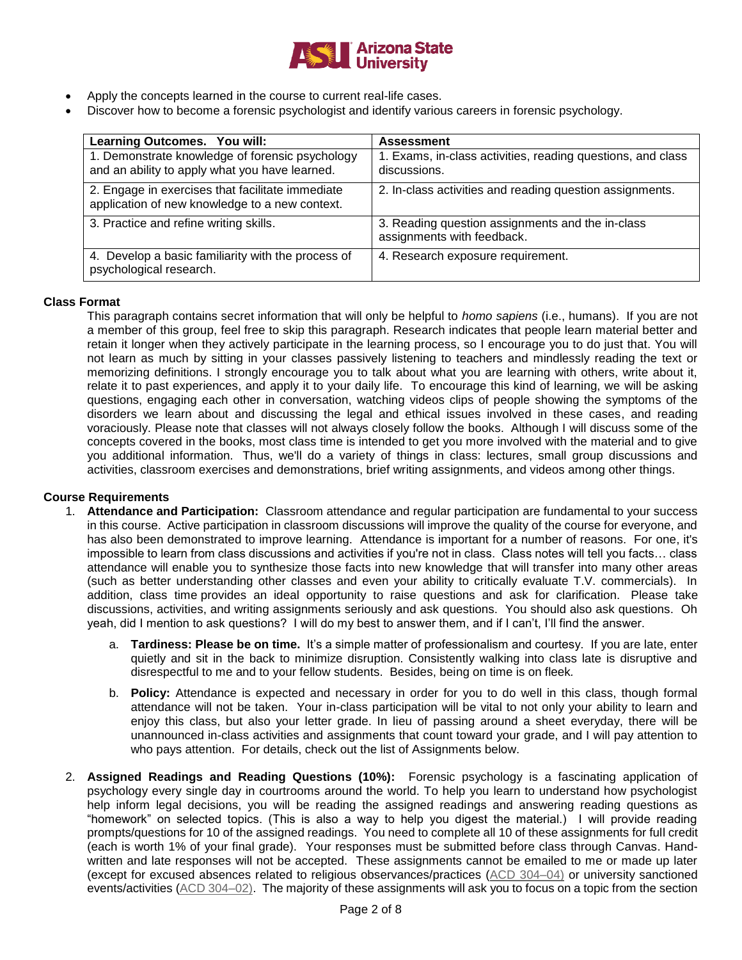

- Apply the concepts learned in the course to current real-life cases.
- Discover how to become a forensic psychologist and identify various careers in forensic psychology.

| Learning Outcomes. You will:                                                                       | <b>Assessment</b>                                                              |
|----------------------------------------------------------------------------------------------------|--------------------------------------------------------------------------------|
| 1. Demonstrate knowledge of forensic psychology<br>and an ability to apply what you have learned.  | 1. Exams, in-class activities, reading questions, and class<br>discussions.    |
| 2. Engage in exercises that facilitate immediate<br>application of new knowledge to a new context. | 2. In-class activities and reading question assignments.                       |
| 3. Practice and refine writing skills.                                                             | 3. Reading question assignments and the in-class<br>assignments with feedback. |
| 4. Develop a basic familiarity with the process of<br>psychological research.                      | 4. Research exposure requirement.                                              |

#### **Class Format**

This paragraph contains secret information that will only be helpful to *homo sapiens* (i.e., humans). If you are not a member of this group, feel free to skip this paragraph. Research indicates that people learn material better and retain it longer when they actively participate in the learning process, so I encourage you to do just that. You will not learn as much by sitting in your classes passively listening to teachers and mindlessly reading the text or memorizing definitions. I strongly encourage you to talk about what you are learning with others, write about it, relate it to past experiences, and apply it to your daily life. To encourage this kind of learning, we will be asking questions, engaging each other in conversation, watching videos clips of people showing the symptoms of the disorders we learn about and discussing the legal and ethical issues involved in these cases, and reading voraciously. Please note that classes will not always closely follow the books. Although I will discuss some of the concepts covered in the books, most class time is intended to get you more involved with the material and to give you additional information. Thus, we'll do a variety of things in class: lectures, small group discussions and activities, classroom exercises and demonstrations, brief writing assignments, and videos among other things.

#### **Course Requirements**

- 1. **Attendance and Participation:** Classroom attendance and regular participation are fundamental to your success in this course. Active participation in classroom discussions will improve the quality of the course for everyone, and has also been demonstrated to improve learning. Attendance is important for a number of reasons. For one, it's impossible to learn from class discussions and activities if you're not in class. Class notes will tell you facts… class attendance will enable you to synthesize those facts into new knowledge that will transfer into many other areas (such as better understanding other classes and even your ability to critically evaluate T.V. commercials). In addition, class time provides an ideal opportunity to raise questions and ask for clarification. Please take discussions, activities, and writing assignments seriously and ask questions. You should also ask questions. Oh yeah, did I mention to ask questions? I will do my best to answer them, and if I can't, I'll find the answer.
	- a. **Tardiness: Please be on time.** It's a simple matter of professionalism and courtesy. If you are late, enter quietly and sit in the back to minimize disruption. Consistently walking into class late is disruptive and disrespectful to me and to your fellow students. Besides, being on time is on fleek*.*
	- b. **Policy:** Attendance is expected and necessary in order for you to do well in this class, though formal attendance will not be taken. Your in-class participation will be vital to not only your ability to learn and enjoy this class, but also your letter grade. In lieu of passing around a sheet everyday, there will be unannounced in-class activities and assignments that count toward your grade, and I will pay attention to who pays attention. For details, check out the list of Assignments below.
- 2. **Assigned Readings and Reading Questions (10%):** Forensic psychology is a fascinating application of psychology every single day in courtrooms around the world. To help you learn to understand how psychologist help inform legal decisions, you will be reading the assigned readings and answering reading questions as "homework" on selected topics. (This is also a way to help you digest the material.) I will provide reading prompts/questions for 10 of the assigned readings. You need to complete all 10 of these assignments for full credit (each is worth 1% of your final grade). Your responses must be submitted before class through Canvas. Handwritten and late responses will not be accepted. These assignments cannot be emailed to me or made up later (except for excused absences related to religious observances/practices [\(ACD 304–04\)](http://www.asu.edu/aad/manuals/acd/acd304-04.html) or university sanctioned events/activities [\(ACD 304–02\)](http://www.asu.edu/aad/manuals/acd/acd304-02.html). The majority of these assignments will ask you to focus on a topic from the section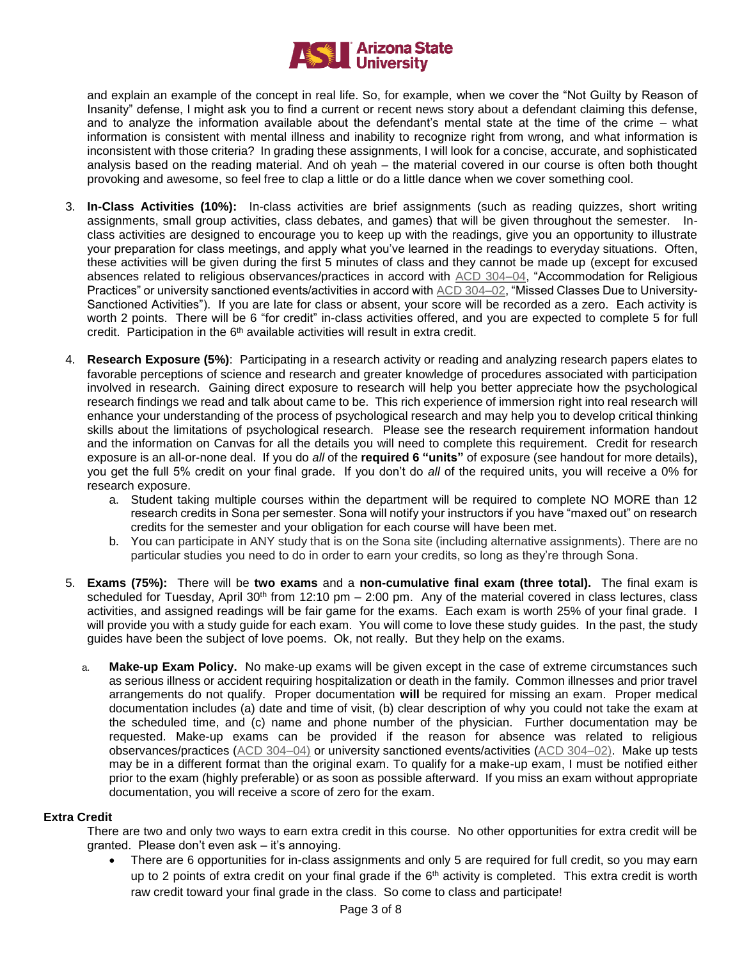

and explain an example of the concept in real life. So, for example, when we cover the "Not Guilty by Reason of Insanity" defense, I might ask you to find a current or recent news story about a defendant claiming this defense, and to analyze the information available about the defendant's mental state at the time of the crime – what information is consistent with mental illness and inability to recognize right from wrong, and what information is inconsistent with those criteria? In grading these assignments, I will look for a concise, accurate, and sophisticated analysis based on the reading material. And oh yeah – the material covered in our course is often both thought provoking and awesome, so feel free to clap a little or do a little dance when we cover something cool.

- 3. **In-Class Activities (10%):** In-class activities are brief assignments (such as reading quizzes, short writing assignments, small group activities, class debates, and games) that will be given throughout the semester. Inclass activities are designed to encourage you to keep up with the readings, give you an opportunity to illustrate your preparation for class meetings, and apply what you've learned in the readings to everyday situations. Often, these activities will be given during the first 5 minutes of class and they cannot be made up (except for excused absences related to religious observances/practices in accord with [ACD 304–04,](http://www.asu.edu/aad/manuals/acd/acd304-04.html) "Accommodation for Religious Practices" or university sanctioned events/activities in accord with [ACD 304–02,](http://www.asu.edu/aad/manuals/acd/acd304-02.html) "Missed Classes Due to University-Sanctioned Activities"). If you are late for class or absent, your score will be recorded as a zero. Each activity is worth 2 points. There will be 6 "for credit" in-class activities offered, and you are expected to complete 5 for full credit. Participation in the 6<sup>th</sup> available activities will result in extra credit.
- 4. **Research Exposure (5%)**: Participating in a research activity or reading and analyzing research papers elates to favorable perceptions of science and research and greater knowledge of procedures associated with participation involved in research. Gaining direct exposure to research will help you better appreciate how the psychological research findings we read and talk about came to be. This rich experience of immersion right into real research will enhance your understanding of the process of psychological research and may help you to develop critical thinking skills about the limitations of psychological research. Please see the research requirement information handout and the information on Canvas for all the details you will need to complete this requirement. Credit for research exposure is an all-or-none deal. If you do *all* of the **required 6 "units"** of exposure (see handout for more details), you get the full 5% credit on your final grade. If you don't do *all* of the required units, you will receive a 0% for research exposure.
	- a. Student taking multiple courses within the department will be required to complete NO MORE than 12 research credits in Sona per semester. Sona will notify your instructors if you have "maxed out" on research credits for the semester and your obligation for each course will have been met.
	- b. You can participate in ANY study that is on the Sona site (including alternative assignments). There are no particular studies you need to do in order to earn your credits, so long as they're through Sona.
- 5. **Exams (75%):** There will be **two exams** and a **non-cumulative final exam (three total).** The final exam is scheduled for Tuesday, April  $30<sup>th</sup>$  from 12:10 pm – 2:00 pm. Any of the material covered in class lectures, class activities, and assigned readings will be fair game for the exams. Each exam is worth 25% of your final grade. I will provide you with a study guide for each exam. You will come to love these study guides. In the past, the study guides have been the subject of love poems. Ok, not really. But they help on the exams.
	- a. **Make-up Exam Policy.** No make-up exams will be given except in the case of extreme circumstances such as serious illness or accident requiring hospitalization or death in the family. Common illnesses and prior travel arrangements do not qualify. Proper documentation **will** be required for missing an exam. Proper medical documentation includes (a) date and time of visit, (b) clear description of why you could not take the exam at the scheduled time, and (c) name and phone number of the physician. Further documentation may be requested. Make-up exams can be provided if the reason for absence was related to religious observances/practices [\(ACD 304–04\)](http://www.asu.edu/aad/manuals/acd/acd304-04.html) or university sanctioned events/activities [\(ACD 304–02\)](http://www.asu.edu/aad/manuals/acd/acd304-02.html). Make up tests may be in a different format than the original exam. To qualify for a make-up exam, I must be notified either prior to the exam (highly preferable) or as soon as possible afterward. If you miss an exam without appropriate documentation, you will receive a score of zero for the exam.

#### **Extra Credit**

There are two and only two ways to earn extra credit in this course. No other opportunities for extra credit will be granted. Please don't even ask – it's annoying.

 There are 6 opportunities for in-class assignments and only 5 are required for full credit, so you may earn up to 2 points of extra credit on your final grade if the  $6<sup>th</sup>$  activity is completed. This extra credit is worth raw credit toward your final grade in the class. So come to class and participate!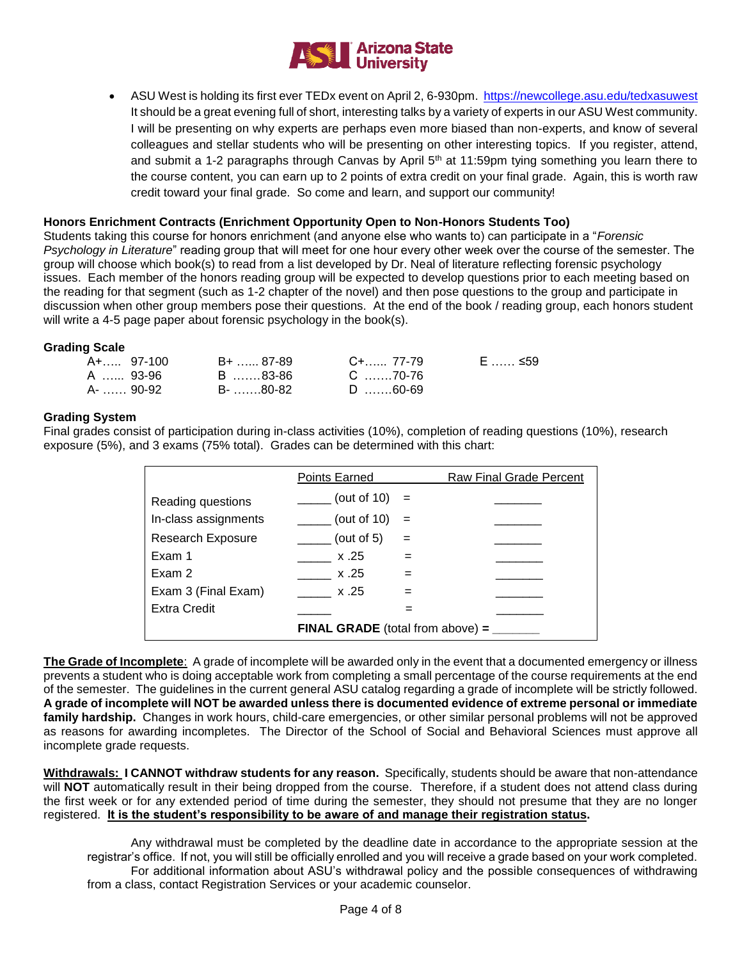

 ASU West is holding its first ever TEDx event on April 2, 6-930pm.<https://newcollege.asu.edu/tedxasuwest> It should be a great evening full of short, interesting talks by a variety of experts in our ASU West community. I will be presenting on why experts are perhaps even more biased than non-experts, and know of several colleagues and stellar students who will be presenting on other interesting topics. If you register, attend, and submit a 1-2 paragraphs through Canvas by April 5<sup>th</sup> at 11:59pm tying something you learn there to the course content, you can earn up to 2 points of extra credit on your final grade. Again, this is worth raw credit toward your final grade. So come and learn, and support our community!

## **Honors Enrichment Contracts (Enrichment Opportunity Open to Non-Honors Students Too)**

Students taking this course for honors enrichment (and anyone else who wants to) can participate in a "*Forensic Psychology in Literature*" reading group that will meet for one hour every other week over the course of the semester. The group will choose which book(s) to read from a list developed by Dr. Neal of literature reflecting forensic psychology issues. Each member of the honors reading group will be expected to develop questions prior to each meeting based on the reading for that segment (such as 1-2 chapter of the novel) and then pose questions to the group and participate in discussion when other group members pose their questions. At the end of the book / reading group, each honors student will write a 4-5 page paper about forensic psychology in the book(s).

#### **Grading Scale**

| A+… 97-100  | B+ …… 87-89 | C+…… 77-79 | E …… ≤59 |
|-------------|-------------|------------|----------|
| A …… 93-96  | B …….83-86  | C 70-76    |          |
| A- …… 90-92 | B- …….80-82 | D 60-69    |          |

#### **Grading System**

Final grades consist of participation during in-class activities (10%), completion of reading questions (10%), research exposure (5%), and 3 exams (75% total). Grades can be determined with this chart:

|                          | Points Earned                             |     | Raw Final Grade Percent |
|--------------------------|-------------------------------------------|-----|-------------------------|
| Reading questions        | (out of $10$ )                            | $=$ |                         |
| In-class assignments     | (out of $10$ )                            | $=$ |                         |
| <b>Research Exposure</b> | (out of $5$ )                             | $=$ |                         |
| Exam 1                   | x.25                                      |     |                         |
| Exam 2                   | x.25                                      | $=$ |                         |
| Exam 3 (Final Exam)      | x.25                                      |     |                         |
| <b>Extra Credit</b>      |                                           |     |                         |
|                          | <b>FINAL GRADE</b> (total from above) $=$ |     |                         |

**The Grade of Incomplete**: A grade of incomplete will be awarded only in the event that a documented emergency or illness prevents a student who is doing acceptable work from completing a small percentage of the course requirements at the end of the semester. The guidelines in the current general ASU catalog regarding a grade of incomplete will be strictly followed. **A grade of incomplete will NOT be awarded unless there is documented evidence of extreme personal or immediate family hardship.** Changes in work hours, child-care emergencies, or other similar personal problems will not be approved as reasons for awarding incompletes. The Director of the School of Social and Behavioral Sciences must approve all incomplete grade requests.

**Withdrawals: I CANNOT withdraw students for any reason.** Specifically, students should be aware that non-attendance will **NOT** automatically result in their being dropped from the course. Therefore, if a student does not attend class during the first week or for any extended period of time during the semester, they should not presume that they are no longer registered. **It is the student's responsibility to be aware of and manage their registration status.**

Any withdrawal must be completed by the deadline date in accordance to the appropriate session at the registrar's office. If not, you will still be officially enrolled and you will receive a grade based on your work completed. For additional information about ASU's withdrawal policy and the possible consequences of withdrawing from a class, contact Registration Services or your academic counselor.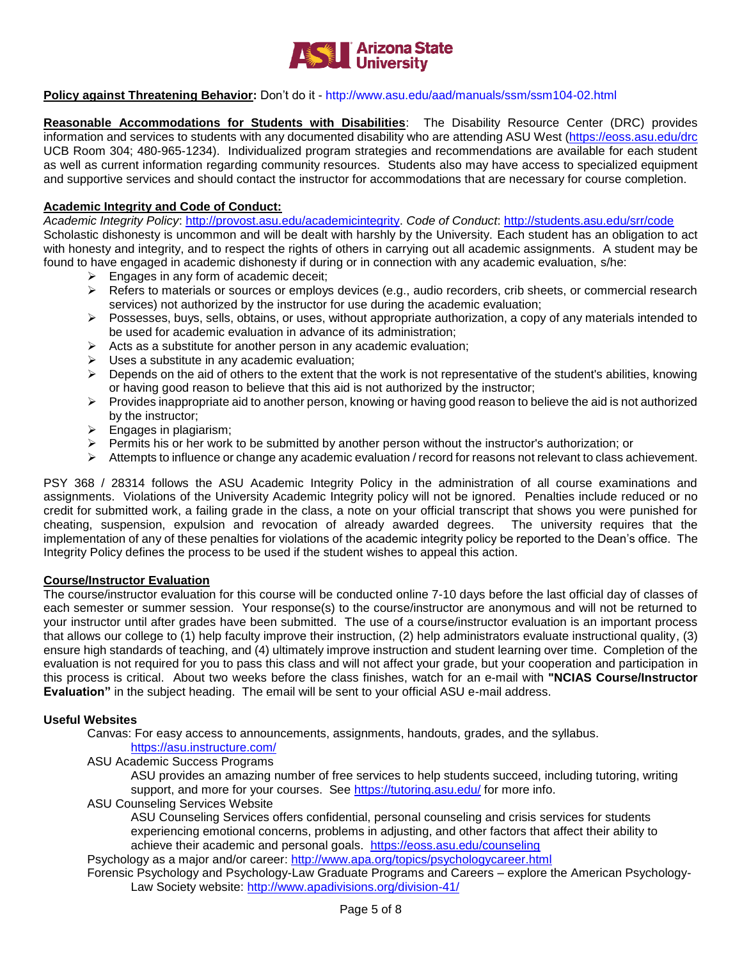

#### **Policy against Threatening Behavior:** Don't do it - <http://www.asu.edu/aad/manuals/ssm/ssm104-02.html>

**Reasonable Accommodations for Students with Disabilities**: The Disability Resource Center (DRC) provides information and services to students with any documented disability who are attending ASU West [\(https://eoss.asu.edu/drc](https://eoss.asu.edu/drc) UCB Room 304; 480-965-1234). Individualized program strategies and recommendations are available for each student as well as current information regarding community resources. Students also may have access to specialized equipment and supportive services and should contact the instructor for accommodations that are necessary for course completion.

#### **Academic Integrity and Code of Conduct:**

*Academic Integrity Policy*: [http://provost.asu.edu/academicintegrity.](http://provost.asu.edu/academicintegrity) *Code of Conduct*:<http://students.asu.edu/srr/code> Scholastic dishonesty is uncommon and will be dealt with harshly by the University. Each student has an obligation to act with honesty and integrity, and to respect the rights of others in carrying out all academic assignments. A student may be found to have engaged in academic dishonesty if during or in connection with any academic evaluation, s/he:

- $\triangleright$  Engages in any form of academic deceit;
- $\triangleright$  Refers to materials or sources or employs devices (e.g., audio recorders, crib sheets, or commercial research services) not authorized by the instructor for use during the academic evaluation;
- $\triangleright$  Possesses, buys, sells, obtains, or uses, without appropriate authorization, a copy of any materials intended to be used for academic evaluation in advance of its administration;
- $\triangleright$  Acts as a substitute for another person in any academic evaluation;
- $\triangleright$  Uses a substitute in any academic evaluation;
- $\triangleright$  Depends on the aid of others to the extent that the work is not representative of the student's abilities, knowing or having good reason to believe that this aid is not authorized by the instructor;
- $\triangleright$  Provides inappropriate aid to another person, knowing or having good reason to believe the aid is not authorized by the instructor;
- $\triangleright$  Engages in plagiarism;
- $\triangleright$  Permits his or her work to be submitted by another person without the instructor's authorization; or
- $\triangleright$  Attempts to influence or change any academic evaluation / record for reasons not relevant to class achievement.

PSY 368 / 28314 follows the ASU Academic Integrity Policy in the administration of all course examinations and assignments. Violations of the University Academic Integrity policy will not be ignored. Penalties include reduced or no credit for submitted work, a failing grade in the class, a note on your official transcript that shows you were punished for cheating, suspension, expulsion and revocation of already awarded degrees. The university requires that the implementation of any of these penalties for violations of the academic integrity policy be reported to the Dean's office. The Integrity Policy defines the process to be used if the student wishes to appeal this action.

#### **Course/Instructor Evaluation**

The course/instructor evaluation for this course will be conducted online 7-10 days before the last official day of classes of each semester or summer session. Your response(s) to the course/instructor are anonymous and will not be returned to your instructor until after grades have been submitted. The use of a course/instructor evaluation is an important process that allows our college to (1) help faculty improve their instruction, (2) help administrators evaluate instructional quality, (3) ensure high standards of teaching, and (4) ultimately improve instruction and student learning over time. Completion of the evaluation is not required for you to pass this class and will not affect your grade, but your cooperation and participation in this process is critical. About two weeks before the class finishes, watch for an e-mail with **"NCIAS Course/Instructor Evaluation"** in the subject heading. The email will be sent to your official ASU e-mail address.

#### **Useful Websites**

Canvas: For easy access to announcements, assignments, handouts, grades, and the syllabus.

## <https://asu.instructure.com/>

ASU Academic Success Programs

ASU provides an amazing number of free services to help students succeed, including tutoring, writing support, and more for your courses. See<https://tutoring.asu.edu/> for more info.

ASU Counseling Services Website

ASU Counseling Services offers confidential, personal counseling and crisis services for students experiencing emotional concerns, problems in adjusting, and other factors that affect their ability to achieve their academic and personal goals. <https://eoss.asu.edu/counseling>

Psychology as a major and/or career:<http://www.apa.org/topics/psychologycareer.html>

Forensic Psychology and Psychology-Law Graduate Programs and Careers – explore the American Psychology-Law Society website:<http://www.apadivisions.org/division-41/>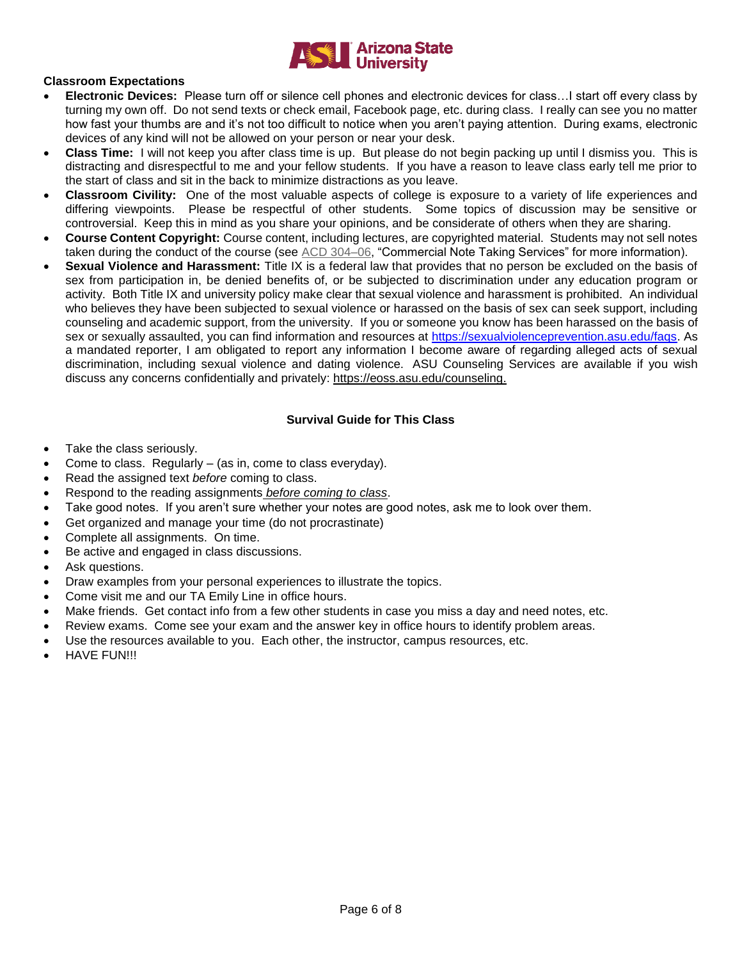

## **Classroom Expectations**

- **Electronic Devices:** Please turn off or silence cell phones and electronic devices for class…I start off every class by turning my own off. Do not send texts or check email, Facebook page, etc. during class. I really can see you no matter how fast your thumbs are and it's not too difficult to notice when you aren't paying attention. During exams, electronic devices of any kind will not be allowed on your person or near your desk.
- **Class Time:** I will not keep you after class time is up. But please do not begin packing up until I dismiss you. This is distracting and disrespectful to me and your fellow students. If you have a reason to leave class early tell me prior to the start of class and sit in the back to minimize distractions as you leave.
- **Classroom Civility:** One of the most valuable aspects of college is exposure to a variety of life experiences and differing viewpoints. Please be respectful of other students. Some topics of discussion may be sensitive or controversial. Keep this in mind as you share your opinions, and be considerate of others when they are sharing.
- **Course Content Copyright:** Course content, including lectures, are copyrighted material. Students may not sell notes taken during the conduct of the course (see [ACD 304–06,](http://www.asu.edu/aad/manuals/acd/acd304-06.html) "Commercial Note Taking Services" for more information).
- **Sexual Violence and Harassment:** Title IX is a federal law that provides that no person be excluded on the basis of sex from participation in, be denied benefits of, or be subjected to discrimination under any education program or activity. Both Title IX and university policy make clear that sexual violence and harassment is prohibited. An individual who believes they have been subjected to sexual violence or harassed on the basis of sex can seek support, including counseling and academic support, from the university. If you or someone you know has been harassed on the basis of sex or sexually assaulted, you can find information and resources at [https://sexualviolenceprevention.asu.edu/faqs.](https://sexualviolenceprevention.asu.edu/faqs) As a mandated reporter, I am obligated to report any information I become aware of regarding alleged acts of sexual discrimination, including sexual violence and dating violence. ASU Counseling Services are available if you wish discuss any concerns confidentially and privately: [https://eoss.asu.edu/counseling.](https://ex2010.asu.edu/owa/redir.aspx?SURL=ZtsWTYpzMIKAOrlHjVi9WSEHzUw-g9u0AOZcjtBtGHumImQxdgLTCGgAdAB0AHAAcwA6AC8ALwBlAG8AcwBzAC4AYQBzAHUALgBlAGQAdQAvAGMAbwB1AG4AcwBlAGwAaQBuAGcA&URL=https%3a%2f%2feoss.asu.edu%2fcounseling)

## **Survival Guide for This Class**

- Take the class seriously.
- Come to class. Regularly (as in, come to class everyday).
- Read the assigned text *before* coming to class.
- Respond to the reading assignments *before coming to class*.
- Take good notes. If you aren't sure whether your notes are good notes, ask me to look over them.
- Get organized and manage your time (do not procrastinate)
- Complete all assignments. On time.
- Be active and engaged in class discussions.
- Ask questions.
- Draw examples from your personal experiences to illustrate the topics.
- Come visit me and our TA Emily Line in office hours.
- Make friends. Get contact info from a few other students in case you miss a day and need notes, etc.
- Review exams. Come see your exam and the answer key in office hours to identify problem areas.
- Use the resources available to you. Each other, the instructor, campus resources, etc.
- HAVE FUN!!!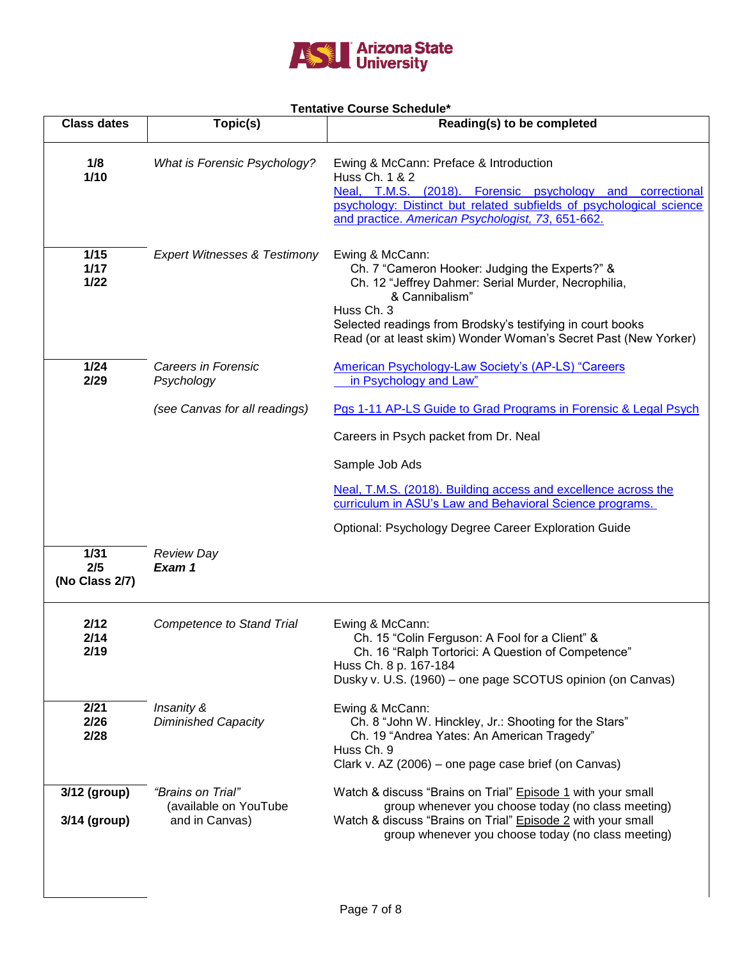

## **Tentative Course Schedule\***

|                               |                                                              | <b>UUUIJE UUIJEUU</b>                                                                                                                                                                                                                                                                     |
|-------------------------------|--------------------------------------------------------------|-------------------------------------------------------------------------------------------------------------------------------------------------------------------------------------------------------------------------------------------------------------------------------------------|
| <b>Class dates</b>            | Topic(s)                                                     | Reading(s) to be completed                                                                                                                                                                                                                                                                |
| 1/8<br>$1/10$                 | <b>What is Forensic Psychology?</b>                          | Ewing & McCann: Preface & Introduction<br>Huss Ch. 1 & 2<br>Neal, T.M.S. (2018). Forensic psychology and correctional<br>psychology: Distinct but related subfields of psychological science<br>and practice. American Psychologist, 73, 651-662.                                         |
| 1/15<br>1/17<br>$1/22$        | <b>Expert Witnesses &amp; Testimony</b>                      | Ewing & McCann:<br>Ch. 7 "Cameron Hooker: Judging the Experts?" &<br>Ch. 12 "Jeffrey Dahmer: Serial Murder, Necrophilia,<br>& Cannibalism"<br>Huss Ch. 3<br>Selected readings from Brodsky's testifying in court books<br>Read (or at least skim) Wonder Woman's Secret Past (New Yorker) |
| 1/24<br>2/29                  | Careers in Forensic<br>Psychology                            | <b>American Psychology-Law Society's (AP-LS) "Careers</b><br>in Psychology and Law"                                                                                                                                                                                                       |
|                               | (see Canvas for all readings)                                | Pgs 1-11 AP-LS Guide to Grad Programs in Forensic & Legal Psych                                                                                                                                                                                                                           |
|                               |                                                              | Careers in Psych packet from Dr. Neal                                                                                                                                                                                                                                                     |
|                               |                                                              | Sample Job Ads                                                                                                                                                                                                                                                                            |
|                               |                                                              | Neal, T.M.S. (2018). Building access and excellence across the<br>curriculum in ASU's Law and Behavioral Science programs.                                                                                                                                                                |
|                               |                                                              | Optional: Psychology Degree Career Exploration Guide                                                                                                                                                                                                                                      |
| 1/31<br>2/5<br>(No Class 2/7) | <b>Review Day</b><br>Exam 1                                  |                                                                                                                                                                                                                                                                                           |
| 2/12<br>2/14<br>2/19          | <b>Competence to Stand Trial</b>                             | Ewing & McCann:<br>Ch. 15 "Colin Ferguson: A Fool for a Client" &<br>Ch. 16 "Ralph Tortorici: A Question of Competence"<br>Huss Ch. 8 p. 167-184<br>Dusky v. U.S. (1960) - one page SCOTUS opinion (on Canvas)                                                                            |
| 2/21<br>2/26<br>2/28          | Insanity &<br><b>Diminished Capacity</b>                     | Ewing & McCann:<br>Ch. 8 "John W. Hinckley, Jr.: Shooting for the Stars"<br>Ch. 19 "Andrea Yates: An American Tragedy"<br>Huss Ch. 9<br>Clark v. AZ (2006) – one page case brief (on Canvas)                                                                                              |
| 3/12 (group)<br>3/14 (group)  | "Brains on Trial"<br>(available on YouTube<br>and in Canvas) | Watch & discuss "Brains on Trial" Episode 1 with your small<br>group whenever you choose today (no class meeting)<br>Watch & discuss "Brains on Trial" Episode 2 with your small<br>group whenever you choose today (no class meeting)                                                    |